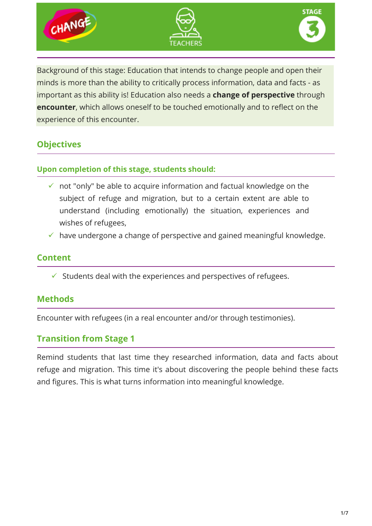

Background of this stage: Education that intends to change people and open their minds is more than the ability to critically process information, data and facts - as important as this ability is! Education also needs a **change of perspective** through **encounter**, which allows oneself to be touched emotionally and to reflect on the experience of this encounter.

# **Objectives**

## **Upon completion of this stage, students should:**

- $\checkmark$  not "only" be able to acquire information and factual knowledge on the subject of refuge and migration, but to a certain extent are able to understand (including emotionally) the situation, experiences and wishes of refugees,
- $\checkmark$  have undergone a change of perspective and gained meaningful knowledge.

# **Content**

 $\checkmark$  Students deal with the experiences and perspectives of refugees.

# **Methods**

Encounter with refugees (in a real encounter and/or through testimonies).

# **Transition from Stage 1**

Remind students that last time they researched information, data and facts about refuge and migration. This time it's about discovering the people behind these facts and figures. This is what turns information into meaningful knowledge.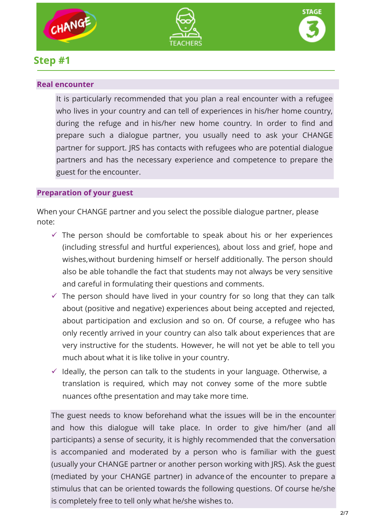





# **Step #1**

## **Real encounter**

It is particularly recommended that you plan a real encounter with a refugee who lives in your country and can tell of experiences in his/her home country, during the refuge and in his/her new home country. In order to find and prepare such a dialogue partner, you usually need to ask your CHANGE partner for support. JRS has contacts with refugees who are potential dialogue partners and has the necessary experience and competence to prepare the guest for the encounter.

# **Preparation of your guest**

When your CHANGE partner and you select the possible dialogue partner, please note:

- $\checkmark$  The person should be comfortable to speak about his or her experiences (including stressful and hurtful experiences), about loss and grief, hope and wishes,without burdening himself or herself additionally. The person should also be able tohandle the fact that students may not always be very sensitive and careful in formulating their questions and comments.
- $\checkmark$  The person should have lived in your country for so long that they can talk about (positive and negative) experiences about being accepted and rejected, about participation and exclusion and so on. Of course, a refugee who has only recently arrived in your country can also talk about experiences that are very instructive for the students. However, he will not yet be able to tell you much about what it is like tolive in your country.
- $\checkmark$  Ideally, the person can talk to the students in your language. Otherwise, a translation is required, which may not convey some of the more subtle nuances ofthe presentation and may take more time.

The guest needs to know beforehand what the issues will be in the encounter and how this dialogue will take place. In order to give him/her (and all participants) a sense of security, it is highly recommended that the conversation is accompanied and moderated by a person who is familiar with the guest (usually your CHANGE partner or another person working with JRS). Ask the guest (mediated by your CHANGE partner) in advance of the encounter to prepare a stimulus that can be oriented towards the following questions. Of course he/she is completely free to tell only what he/she wishes to.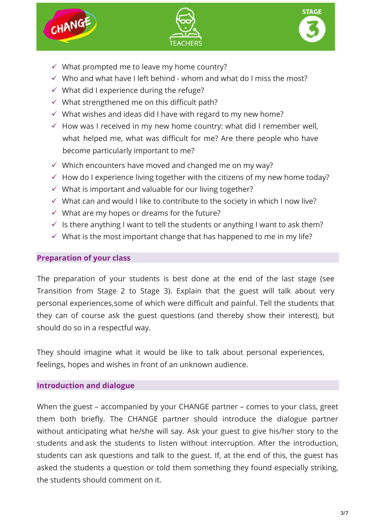





- $\checkmark$  What prompted me to leave my home country?
- $\checkmark$  Who and what have I left behind whom and what do I miss the most?
- $\checkmark$  What did I experience during the refuge?
- $\checkmark$  What strengthened me on this difficult path?
- $\checkmark$  What wishes and ideas did I have with regard to my new home?
- $\checkmark$  How was I received in my new home country: what did I remember well, what helped me, what was difficult for me? Are there people who have become particularly important to me?
- $\checkmark$  Which encounters have moved and changed me on my way?
- $\checkmark$  How do I experience living together with the citizens of my new home today?
- $\checkmark$  What is important and valuable for our living together?
- $\checkmark$  What can and would I like to contribute to the society in which I now live?
- $\checkmark$  What are my hopes or dreams for the future?
- $\checkmark$  is there anything I want to tell the students or anything I want to ask them?
- $\checkmark$  What is the most important change that has happened to me in my life?

## **Preparation of your class**

The preparation of your students is best done at the end of the last stage (see Transition from Stage 2 to Stage 3). Explain that the guest will talk about very personal experiences,some of which were difficult and painful. Tell the students that they can of course ask the guest questions (and thereby show their interest), but should do so in a respectful way.

They should imagine what it would be like to talk about personal experiences, feelings, hopes and wishes in front of an unknown audience.

#### **Introduction and dialogue**

When the guest – accompanied by your CHANGE partner – comes to your class, greet them both briefly. The CHANGE partner should introduce the dialogue partner without anticipating what he/she will say. Ask your guest to give his/her story to the students and ask the students to listen without interruption. After the introduction, students can ask questions and talk to the guest. If, at the end of this, the guest has asked the students a question or told them something they found especially striking, the students should comment on it.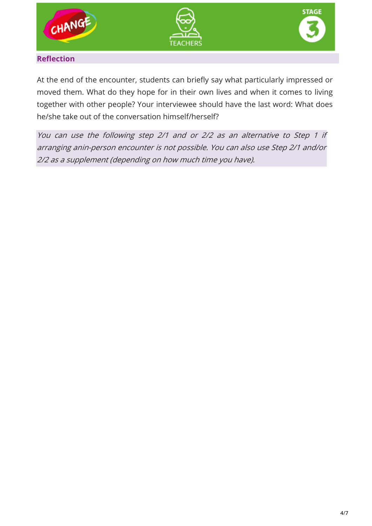





## **Reflection**

At the end of the encounter, students can briefly say what particularly impressed or moved them. What do they hope for in their own lives and when it comes to living together with other people? Your interviewee should have the last word: What does he/she take out of the conversation himself/herself?

You can use the following step 2/1 and or 2/2 as an alternative to Step 1 if arranging anin-person encounter is not possible. You can also use Step 2/1 and/or 2/2 as a supplement (depending on how much time you have).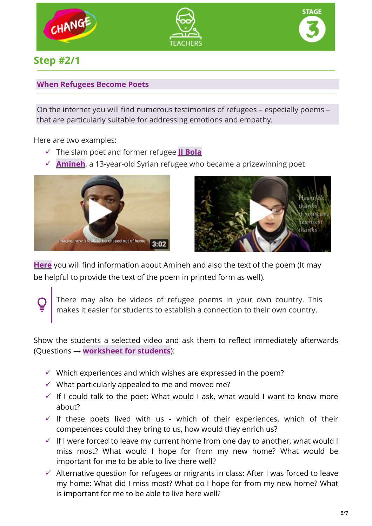





# **Step #2/1**

## **When Refugees Become Poets**

On the internet you will find numerous testimonies of refugees – especially poems – that are particularly suitable for addressing emotions and empathy.

Here are two examples:

- The slam poet and former refugee **[JJ Bola](https://www.youtube.com/watch?v=R3dgPtyQ3PI)**
- **[Amineh](https://vimeo.com/237486658)**, a 13-year-old Syrian refugee who became a prizewinning poet





**[Here](https://www.theguardian.com/books/2017/oct/01/the-13-year-old-syrian-refugee-prizewinning-poet-amineh-abou-kerech-betjeman-prize)** you will find information about Amineh and also the text of the poem (It may be helpful to provide the text of the poem in printed form as well).

There may also be videos of refugee poems in your own country. This makes it easier for students to establish a connection to their own country.

Show the students a selected video and ask them to reflect immediately afterwards (Questions → **worksheet for students**):

- $\checkmark$  Which experiences and which wishes are expressed in the poem?
- $\checkmark$  What particularly appealed to me and moved me?
- $\checkmark$  If I could talk to the poet: What would I ask, what would I want to know more about?
- $\checkmark$  If these poets lived with us which of their experiences, which of their competences could they bring to us, how would they enrich us?
- $\checkmark$  If I were forced to leave my current home from one day to another, what would I miss most? What would I hope for from my new home? What would be important for me to be able to live there well?
- $\checkmark$  Alternative question for refugees or migrants in class: After I was forced to leave my home: What did I miss most? What do I hope for from my new home? What is important for me to be able to live here well?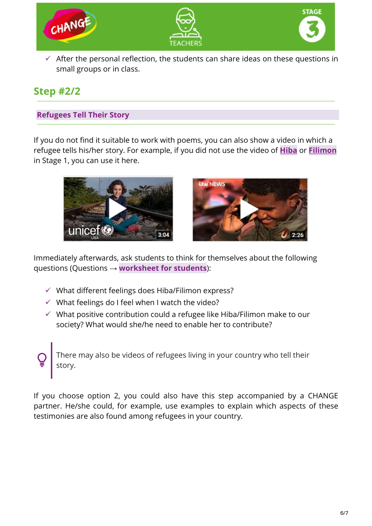

**Step #2/2**

## **Refugees Tell Their Story**

small groups or in class.

If you do not find it suitable to work with poems, you can also show a video in which a refugee tells his/her story. For example, if you did not use the video of **[Hiba](https://www.youtube.com/watch?v=7QVmXX62_H0)** or **[Filimon](https://www.youtube.com/watch?v=3VWsMP9oyPg)** in Stage 1, you can use it here.





Immediately afterwards, ask students to think for themselves about the following questions (Questions → **worksheet for students**):

- $\checkmark$  What different feelings does Hiba/Filimon express?
- $\checkmark$  What feelings do I feel when I watch the video?
- $\checkmark$  What positive contribution could a refugee like Hiba/Filimon make to our society? What would she/he need to enable her to contribute?

There may also be videos of refugees living in your country who tell their story.

If you choose option 2, you could also have this step accompanied by a CHANGE partner. He/she could, for example, use examples to explain which aspects of these testimonies are also found among refugees in your country.